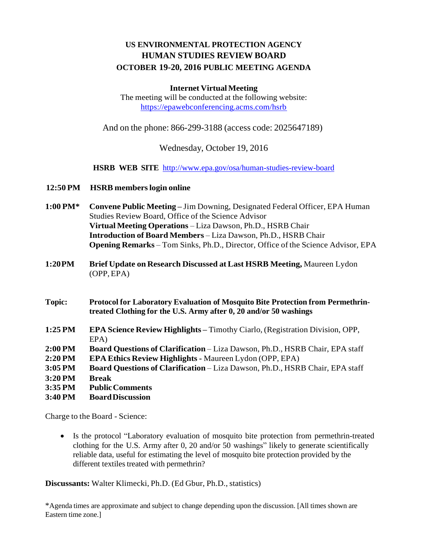# **US ENVIRONMENTAL PROTECTION AGENCY HUMAN STUDIES REVIEW BOARD OCTOBER 19-20, 2016 PUBLIC MEETING AGENDA**

#### **Internet VirtualMeeting**

The meeting will be conducted at the following website: <https://epawebconferencing.acms.com/hsrb>

And on the phone: 866-299-3188 (access code: 2025647189)

Wednesday, October 19, 2016

**HSRB WEB SITE** <http://www.epa.gov/osa/human-studies-review-board>

- **12:50 PM HSRB memberslogin online**
- **1:00 PM\* Convene Public Meeting –** Jim Downing, Designated Federal Officer, EPA Human Studies Review Board, Office of the Science Advisor **Virtual Meeting Operations** – Liza Dawson, Ph.D., HSRB Chair **Introduction of Board Members** – Liza Dawson, Ph.D., HSRB Chair **Opening Remarks** – Tom Sinks, Ph.D., Director, Office of the Science Advisor, EPA
- **1:20PM Brief Update on Research Discussed at Last HSRB Meeting,** Maureen Lydon (OPP, EPA)
- **Topic: Protocol for Laboratory Evaluation of Mosquito Bite Protection from Permethrintreated Clothing for the U.S. Army after 0, 20 and/or 50 washings**
- **1:25 PM EPA Science Review Highlights –** Timothy Ciarlo, (Registration Division, OPP, EPA)
- **2:00 PM Board Questions of Clarification** Liza Dawson, Ph.D., HSRB Chair, EPA staff
- **2:20 PM EPA Ethics Review Highlights -** Maureen Lydon (OPP, EPA)
- **3:05 PM Board Questions of Clarification** Liza Dawson, Ph.D., HSRB Chair, EPA staff
- **3:20 PM Break**
- **3:35 PM PublicComments**
- **3:40 PM BoardDiscussion**

Charge to the Board - Science:

 Is the protocol "Laboratory evaluation of mosquito bite protection from permethrin-treated clothing for the U.S. Army after 0, 20 and/or 50 washings" likely to generate scientifically reliable data, useful for estimating the level of mosquito bite protection provided by the different textiles treated with permethrin?

**Discussants:** Walter Klimecki, Ph.D. (Ed Gbur, Ph.D., statistics)

\*Agenda times are approximate and subject to change depending upon the discussion. [All times shown are Eastern time zone.]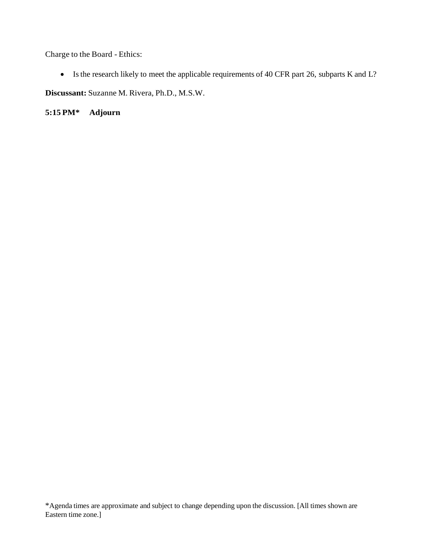Charge to the Board - Ethics:

• Is the research likely to meet the applicable requirements of 40 CFR part 26, subparts K and L?

**Discussant:** Suzanne M. Rivera, Ph.D., M.S.W.

**5:15 PM\* Adjourn**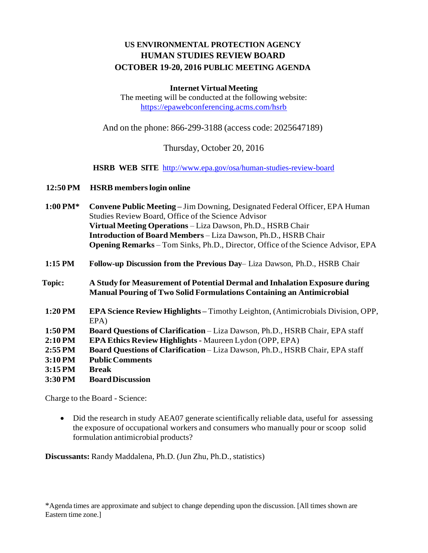# **US ENVIRONMENTAL PROTECTION AGENCY HUMAN STUDIES REVIEW BOARD OCTOBER 19-20, 2016 PUBLIC MEETING AGENDA**

### **Internet VirtualMeeting**

The meeting will be conducted at the following website: <https://epawebconferencing.acms.com/hsrb>

And on the phone: 866-299-3188 (access code: 2025647189)

Thursday, October 20, 2016

**HSRB WEB SITE** <http://www.epa.gov/osa/human-studies-review-board>

### **12:50 PM HSRB memberslogin online**

| $1:00$ PM* | <b>Convene Public Meeting – Jim Downing, Designated Federal Officer, EPA Human</b>      |
|------------|-----------------------------------------------------------------------------------------|
|            | Studies Review Board, Office of the Science Advisor                                     |
|            | Virtual Meeting Operations – Liza Dawson, Ph.D., HSRB Chair                             |
|            | <b>Introduction of Board Members - Liza Dawson, Ph.D., HSRB Chair</b>                   |
|            | <b>Opening Remarks</b> – Tom Sinks, Ph.D., Director, Office of the Science Advisor, EPA |
|            |                                                                                         |

**1:15 PM Follow-up Discussion from the Previous Day**– Liza Dawson, Ph.D., HSRB Chair

**Topic: A Study for Measurement of Potential Dermal and Inhalation Exposure during Manual Pouring of Two Solid Formulations Containing an Antimicrobial**

- **1:20 PM EPA Science Review Highlights –** Timothy Leighton, (Antimicrobials Division, OPP, EPA)
- **1:50 PM Board Questions of Clarification** Liza Dawson, Ph.D., HSRB Chair, EPA staff
- **2:10 PM EPA Ethics Review Highlights -** Maureen Lydon (OPP, EPA)
- **2:55 PM Board Questions of Clarification** Liza Dawson, Ph.D., HSRB Chair, EPA staff
- **3:10 PM PublicComments**
- **3:15 PM Break**
- **3:30 PM BoardDiscussion**

Charge to the Board - Science:

• Did the research in study AEA07 generate scientifically reliable data, useful for assessing the exposure of occupational workers and consumers who manually pour or scoop solid formulation antimicrobial products?

**Discussants:** Randy Maddalena, Ph.D. (Jun Zhu, Ph.D., statistics)